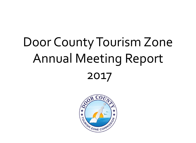# Door County Tourism Zone Annual Meeting Report 2017

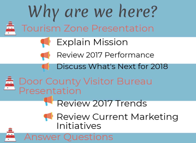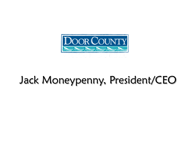

## Jack Moneypenny, President/CEO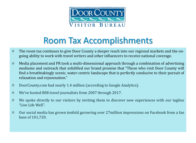

## Room Tax Accomplishments

- The room tax continues to give Door County a deeper reach into our regional markets and the on-◈ going ability to work with travel writers and other influencers to receive national coverage.
- Media placement and PR took a multi-dimensional approach through a combination of advertising ◈ mediums and outreach that solidified our brand promise that "Those who visit Door County will find a breathtakingly scenic, water-centric landscape that is perfectly conducive to their pursuit of relaxation and rejuvenation."
- DoorCounty.com had nearly 1.4 million (according to Google Analytics). ◈
- We've hosted 808 travel journalists from 2007 through 2017. ◈
- We spoke directly to our visitors by inviting them to discover new experiences with our tagline "Live Life Well".
- Our social media has grown tenfold garnering over 27million impressions on Facebook from a fan ◈ base of 101,720.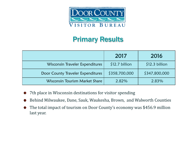

#### Primary Results

|                                   | 2017            | 2016            |
|-----------------------------------|-----------------|-----------------|
| Wisconsin Traveler Expenditures   | $$12.7$ billion | $$12.3$ billion |
| Door County Traveler Expenditures | \$358,700,000   | \$347,800,000   |
| Wisconsin Tourism Market Share    | 2.82%           | 2.83%           |

- 7th place in Wisconsin destinations for visitor spending  $\bullet$
- Behind Milwaukee, Dane, Sauk, Waukesha, Brown, and Walworth Counties  $\bullet$
- The total impact of tourism on Door County's economy was \$456.9 million  $\bullet$ last year.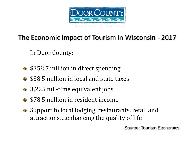

#### The Economic Impact of Tourism in Wisconsin - 2017

In Door County:

- \$358.7 million in direct spending
- **\$38.5 million in local and state taxes**
- **3,225 full-time equivalent jobs**
- **\$78.5 million in resident income**
- Support to local lodging, restaurants, retail and attractions….enhancing the quality of life

Source: Tourism Economics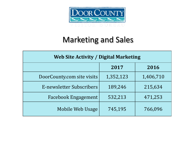

#### Marketing and Sales

| <b>Web Site Activity / Digital Marketing</b> |           |           |  |
|----------------------------------------------|-----------|-----------|--|
|                                              | 2017      | 2016      |  |
| DoorCounty.com site visits                   | 1,352,123 | 1,406,710 |  |
| E-newsletter Subscribers                     | 189,246   | 215,634   |  |
| <b>Facebook Engagement</b>                   | 532,213   | 471,253   |  |
| Mobile Web Usage                             | 745,195   | 766,096   |  |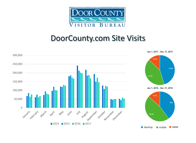

#### DoorCounty.com Site Visits

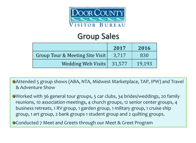

#### Group Sales

|                                 | 2017   | 2016   |
|---------------------------------|--------|--------|
| Group Tour & Meeting Site Visit | 3.717  | 830    |
| <b>Wedding Web Visits</b>       | 31,577 | 19.193 |

Attended 5 group shows (ABA, NTA, Midwest Marketplace, TAP, IPW) and Travel & Adventure Show

Worked with 36 general tour groups, 5 car clubs, 34 brides/weddings, 20 family reunions, 10 association meetings, 4 church groups, 12 senior center groups, 4 business retreats, 1 RV group, 1 garden group, 1 military group, 1 cruise ship group, 1 art group, 2 bank groups 1 student group and 2 quilting groups.

Conducted 7 Meet and Greets through our Meet & Greet Program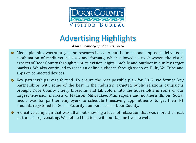

## Advertising Highlights

*A small sampling of what was placed*

- Media planning was strategic and research based. A multi-dimensional approach delivered a ø combination of mediums, ad sizes and formats, which allowed us to showcase the visual aspects of Door County through print, television, digital, mobile and outdoor in our key target markets. We also continued to reach an online audience through video on Hulu, YouTube and apps on connected devices.
- Key partnerships were formed. To ensure the best possible plan for 2017, we formed key ⊛ partnerships with some of the best in the industry. Targeted public relations campaigns brought Door County cherry blossoms and fall colors into the households in some of our largest television markets of Madison, Milwaukee, Minneapolis and northern Illinois. Social media was for partner employers to schedule timesaving appointments to get their J-1 students registered for Social Security numbers here in Door County.
- A creative campaign that was all about showing a level of relaxation that was more than just ø restful; it's rejuvenating. We defined that idea with our tagline live life well.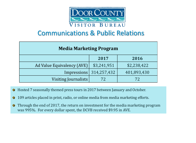

#### Communications & Public Relations

| <b>Media Marketing Program</b> |                            |             |  |  |
|--------------------------------|----------------------------|-------------|--|--|
|                                | 2017                       | 2016        |  |  |
| Ad Value Equivalency (AVE)     | \$3,241,951                | \$2,238,422 |  |  |
|                                | Impressions $ 314,257,432$ | 401,893,430 |  |  |
| Visiting Journalists           |                            | 72          |  |  |

- Hosted 7 seasonally themed press tours in 2017 between January and October. Ø
- 109 articles placed in print, radio, or online media from media marketing efforts. Ø,
- Through the end of 2017, the return on investment for the media marketing program Ø. was 995%. For every dollar spent, the DCVB received \$9.95 in AVE.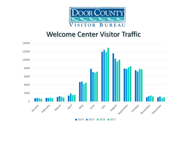

#### Welcome Center Visitor Traffic



**2014 2015 2016 2017**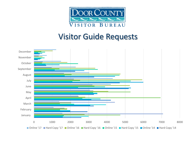

#### Visitor Guide Requests